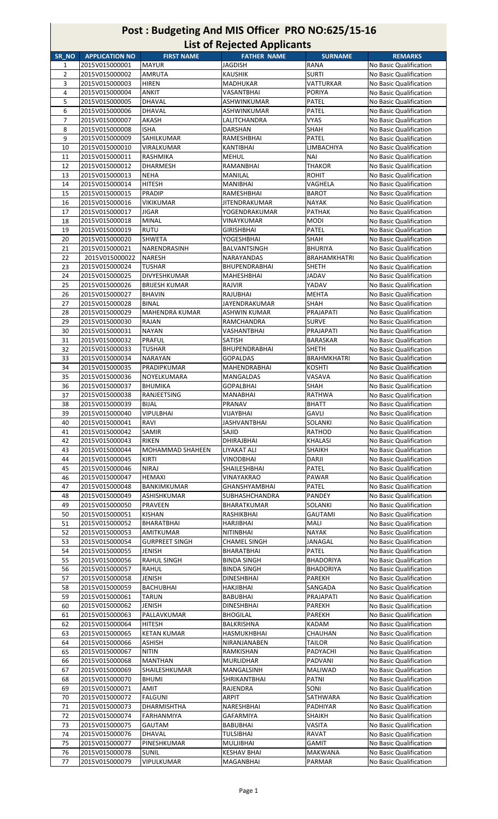|                |                       |                       | List of nelected applicants |                     |                        |
|----------------|-----------------------|-----------------------|-----------------------------|---------------------|------------------------|
| SR NO          | <b>APPLICATION NO</b> | <b>FIRST NAME</b>     | <b>FATHER NAME</b>          | <b>SURNAME</b>      | <b>REMARKS</b>         |
| $\mathbf{1}$   | 2015V015000001        | <b>MAYUR</b>          | <b>JAGDISH</b>              | <b>RANA</b>         | No Basic Qualification |
| $\overline{2}$ | 2015V015000002        | <b>AMRUTA</b>         | <b>KAUSHIK</b>              | <b>SURTI</b>        | No Basic Qualification |
| 3              | 2015V015000003        | <b>HIREN</b>          | MADHUKAR                    | VATTURKAR           | No Basic Qualification |
| 4              | 2015V015000004        | <b>ANKIT</b>          | VASANTBHAI                  | <b>PORIYA</b>       | No Basic Qualification |
| 5              | 2015V015000005        | DHAVAL                | ASHWINKUMAR                 | <b>PATEL</b>        | No Basic Qualification |
|                |                       |                       |                             |                     |                        |
| 6              | 2015V015000006        | DHAVAL                | ASHWINKUMAR                 | <b>PATEL</b>        | No Basic Qualification |
| $\overline{7}$ | 2015V015000007        | AKASH                 | LALITCHANDRA                | VYAS                | No Basic Qualification |
| 8              | 2015V015000008        | <b>ISHA</b>           | DARSHAN                     | SHAH                | No Basic Qualification |
| 9              | 2015V015000009        | SAHILKUMAR            | <b>RAMESHBHAI</b>           | <b>PATEL</b>        | No Basic Qualification |
| 10             | 2015V015000010        | VIRALKUMAR            | KANTIBHAI                   | LIMBACHIYA          | No Basic Qualification |
| 11             | 2015V015000011        | RASHMIKA              | <b>MEHUL</b>                | <b>NAI</b>          | No Basic Qualification |
| 12             | 2015V015000012        | <b>DHARMESH</b>       | RAMANBHAI                   | <b>THAKOR</b>       | No Basic Qualification |
| 13             | 2015V015000013        | <b>NEHA</b>           | MANILAL                     | <b>ROHIT</b>        | No Basic Qualification |
| 14             | 2015V015000014        | <b>HITESH</b>         | <b>MANIBHAI</b>             | VAGHELA             | No Basic Qualification |
| 15             | 2015V015000015        | <b>PRADIP</b>         | RAMESHBHAI                  | <b>BAROT</b>        | No Basic Qualification |
|                |                       |                       |                             |                     |                        |
| 16             | 2015V015000016        | VIKIKUMAR             | JITENDRAKUMAR               | <b>NAYAK</b>        | No Basic Qualification |
| 17             | 2015V015000017        | JIGAR                 | YOGENDRAKUMAR               | <b>PATHAK</b>       | No Basic Qualification |
| 18             | 2015V015000018        | <b>MINAL</b>          | VINAYKUMAR                  | <b>MODI</b>         | No Basic Qualification |
| 19             | 2015V015000019        | <b>RUTU</b>           | <b>GIRISHBHAI</b>           | <b>PATEL</b>        | No Basic Qualification |
| 20             | 2015V015000020        | <b>SHWETA</b>         | YOGESHBHAI                  | SHAH                | No Basic Qualification |
| 21             | 2015V015000021        | NARENDRASINH          | BALVANTSINGH                | <b>BHURIYA</b>      | No Basic Qualification |
| 22             | 2015V015000022        | <b>NARESH</b>         | NARAYANDAS                  | <b>BRAHAMKHATRI</b> | No Basic Qualification |
| 23             | 2015V015000024        | TUSHAR                | <b>BHUPENDRABHAI</b>        | <b>SHETH</b>        | No Basic Qualification |
|                |                       |                       |                             |                     |                        |
| 24             | 2015V015000025        | DIVYESHKUMAR          | <b>MAHESHBHAI</b>           | JADAV               | No Basic Qualification |
| 25             | 2015V015000026        | <b>BRIJESH KUMAR</b>  | RAJVIR                      | YADAV               | No Basic Qualification |
| 26             | 2015V015000027        | <b>BHAVIN</b>         | RAJUBHAI                    | <b>MEHTA</b>        | No Basic Qualification |
| 27             | 2015V015000028        | <b>BINAL</b>          | JAYENDRAKUMAR               | SHAH                | No Basic Qualification |
| 28             | 2015V015000029        | <b>MAHENDRA KUMAR</b> | ASHWIN KUMAR                | PRAJAPATI           | No Basic Qualification |
| 29             | 2015V015000030        | RAJAN                 | RAMCHANDRA                  | <b>SURVE</b>        | No Basic Qualification |
| 30             | 2015V015000031        | <b>NAYAN</b>          | VASHANTBHAI                 | PRAJAPATI           | No Basic Qualification |
| 31             | 2015V015000032        | PRAFUL                | <b>SATISH</b>               | BARASKAR            | No Basic Qualification |
| 32             | 2015V015000033        |                       |                             | <b>SHETH</b>        | No Basic Qualification |
|                |                       | TUSHAR                | <b>BHUPENDRABHAI</b>        |                     |                        |
| 33             | 2015V015000034        | NARAYAN               | <b>GOPALDAS</b>             | <b>BRAHMKHATRI</b>  | No Basic Qualification |
| 34             | 2015V015000035        | PRADIPKUMAR           | MAHENDRABHAI                | <b>KOSHTI</b>       | No Basic Qualification |
| 35             | 2015V015000036        | NOYELKUMARA           | MANGALDAS                   | VASAVA              | No Basic Qualification |
| 36             | 2015V015000037        | <b>BHUMIKA</b>        | <b>GOPALBHAI</b>            | <b>SHAH</b>         | No Basic Qualification |
| 37             | 2015V015000038        | RANJEETSING           | MANABHAI                    | <b>RATHWA</b>       | No Basic Qualification |
| 38             | 2015V015000039        | <b>BIJAL</b>          | PRANAV                      | <b>BHATT</b>        | No Basic Qualification |
| 39             | 2015V015000040        | <b>VIPULBHAI</b>      | VIJAYBHAI                   | <b>GAVLI</b>        | No Basic Qualification |
| 40             | 2015V015000041        | RAVI                  | <b>JASHVANTBHAI</b>         | SOLANKI             | No Basic Qualification |
|                | 2015V015000042        | SAMIR                 | SAJID                       | RATHOD              | No Basic Qualification |
| 41             |                       |                       |                             |                     |                        |
| 42             | 2015V015000043        | RIKEN                 | DHIRAJBHAI                  | KHALASI             | No Basic Qualification |
| 43             | 2015V015000044        | MOHAMMAD SHAHEEN      | LIYAKAT ALI                 | SHAIKH              | No Basic Qualification |
| 44             | 2015V015000045        | KIRTI                 | <b>VINODBHAI</b>            | DARJI               | No Basic Qualification |
| 45             | 2015V015000046        | NIRAJ                 | SHAILESHBHAI                | PATEL               | No Basic Qualification |
| 46             | 2015V015000047        | <b>HEMAXI</b>         | VINAYAKRAO                  | PAWAR               | No Basic Qualification |
| 47             | 2015V015000048        | <b>BANKIMKUMAR</b>    | <b>GHANSHYAMBHAI</b>        | PATEL               | No Basic Qualification |
| 48             | 2015V015000049        | ASHISHKUMAR           | <b>SUBHASHCHANDRA</b>       | <b>PANDEY</b>       | No Basic Qualification |
| 49             | 2015V015000050        | PRAVEEN               | BHARATKUMAR                 | SOLANKI             | No Basic Qualification |
| 50             | 2015V015000051        | KISHAN                | RASHIKBHAI                  | <b>GAUTAMI</b>      | No Basic Qualification |
|                | 2015V015000052        | BHARATBHAI            | HARJIBHAI                   | MALI                |                        |
| 51             |                       |                       |                             |                     | No Basic Qualification |
| 52             | 2015V015000053        | AMITKUMAR             | <b>NITINBHAI</b>            | <b>NAYAK</b>        | No Basic Qualification |
| 53             | 2015V015000054        | <b>GURPREET SINGH</b> | <b>CHAMEL SINGH</b>         | JANAGAL             | No Basic Qualification |
| 54             | 2015V015000055        | JENISH                | BHARATBHAI                  | <b>PATEL</b>        | No Basic Qualification |
| 55             | 2015V015000056        | RAHUL SINGH           | <b>BINDA SINGH</b>          | <b>BHADORIYA</b>    | No Basic Qualification |
| 56             | 2015V015000057        | RAHUL                 | <b>BINDA SINGH</b>          | <b>BHADORIYA</b>    | No Basic Qualification |
| 57             | 2015V015000058        | JENISH                | <b>DINESHBHAI</b>           | PAREKH              | No Basic Qualification |
| 58             | 2015V015000059        | <b>BACHUBHAI</b>      | HAKJIBHAI                   | SANGADA             | No Basic Qualification |
| 59             | 2015V015000061        | TARUN                 | BABUBHAI                    | PRAJAPATI           | No Basic Qualification |
| 60             | 2015V015000062        | JENISH                | <b>DINESHBHAI</b>           | PAREKH              | No Basic Qualification |
| 61             | 2015V015000063        | PALLAVKUMAR           | <b>BHOGILAL</b>             | PAREKH              | No Basic Qualification |
|                |                       |                       |                             |                     |                        |
| 62             | 2015V015000064        | HITESH                | BALKRISHNA                  | KADAM               | No Basic Qualification |
| 63             | 2015V015000065        | <b>KETAN KUMAR</b>    | HASMUKHBHAI                 | CHAUHAN             | No Basic Qualification |
| 64             | 2015V015000066        | ASHISH                | NIRANJANABEN                | TAILOR              | No Basic Qualification |
| 65             | 2015V015000067        | <b>NITIN</b>          | RAMKISHAN                   | PADYACHI            | No Basic Qualification |
| 66             | 2015V015000068        | <b>MANTHAN</b>        | MURLIDHAR                   | PADVANI             | No Basic Qualification |
| 67             | 2015V015000069        | SHAILESHKUMAR         | MANGALSINH                  | MALIWAD             | No Basic Qualification |
| 68             | 2015V015000070        | <b>BHUMI</b>          | SHRIKANTBHAI                | <b>PATNI</b>        | No Basic Qualification |
| 69             | 2015V015000071        | AMIT                  | RAJENDRA                    | SONI                | No Basic Qualification |
| 70             | 2015V015000072        | <b>FALGUNI</b>        | <b>ARPIT</b>                | SATHWARA            | No Basic Qualification |
|                | 2015V015000073        | DHARMISHTHA           | NARESHBHAI                  | PADHIYAR            | No Basic Qualification |
| 71             |                       |                       |                             |                     |                        |
| 72             | 2015V015000074        | FARHANMIYA            | GAFARMIYA                   | <b>SHAIKH</b>       | No Basic Qualification |
| 73             | 2015V015000075        | <b>GAUTAM</b>         | <b>BABUBHAI</b>             | <b>VASITA</b>       | No Basic Qualification |
| 74             | 2015V015000076        | DHAVAL                | TULSIBHAI                   | RAVAT               | No Basic Qualification |
| 75             | 2015V015000077        | PINESHKUMAR           | MULJIBHAI                   | GAMIT               | No Basic Qualification |
| 76             | 2015V015000078        | SUNIL                 | <b>KESHAV BHAI</b>          | MAKWANA             | No Basic Qualification |
| 77             | 2015V015000079        | VIPULKUMAR            | MAGANBHAI                   | PARMAR              | No Basic Qualification |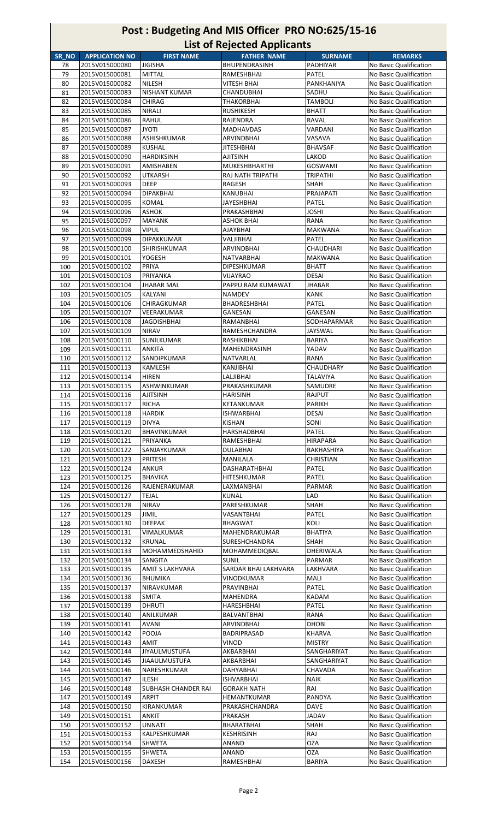|       |                       |                      | List of nejected Applicatits |                 |                        |
|-------|-----------------------|----------------------|------------------------------|-----------------|------------------------|
| SR NO | <b>APPLICATION NO</b> | <b>FIRST NAME</b>    | <b>FATHER NAME</b>           | <b>SURNAME</b>  | <b>REMARKS</b>         |
| 78    | 2015V015000080        | JIGISHA              | BHUPENDRASINH                | PADHIYAR        | No Basic Qualification |
| 79    | 2015V015000081        | MITTAL               | RAMESHBHAI                   | <b>PATEL</b>    | No Basic Qualification |
| 80    | 2015V015000082        | <b>NILESH</b>        | VITESH BHAI                  | PANKHANIYA      | No Basic Qualification |
| 81    | 2015V015000083        | <b>NISHANT KUMAR</b> | CHANDUBHAI                   | SADHU           | No Basic Qualification |
| 82    | 2015V015000084        | <b>CHIRAG</b>        | <b>THAKORBHAI</b>            | TAMBOLI         | No Basic Qualification |
|       |                       |                      |                              |                 |                        |
| 83    | 2015V015000085        | <b>NIRALI</b>        | RUSHIKESH                    | <b>BHATT</b>    | No Basic Qualification |
| 84    | 2015V015000086        | RAHUL                | RAJENDRA                     | RAVAL           | No Basic Qualification |
| 85    | 2015V015000087        | JYOTI                | <b>MADHAVDAS</b>             | VARDANI         | No Basic Qualification |
| 86    | 2015V015000088        | ASHISHKUMAR          | <b>ARVINDBHAI</b>            | VASAVA          | No Basic Qualification |
| 87    | 2015V015000089        | <b>KUSHAL</b>        | <b>JITESHBHAI</b>            | <b>BHAVSAF</b>  | No Basic Qualification |
| 88    | 2015V015000090        | <b>HARDIKSINH</b>    | <b>AJITSINH</b>              | LAKOD           | No Basic Qualification |
| 89    | 2015V015000091        | AMISHABEN            | MUKESHBHARTHI                | GOSWAMI         | No Basic Qualification |
| 90    | 2015V015000092        | <b>UTKARSH</b>       | RAJ NATH TRIPATHI            | TRIPATHI        | No Basic Qualification |
| 91    | 2015V015000093        | <b>DEEP</b>          | RAGESH                       | SHAH            | No Basic Qualification |
| 92    | 2015V015000094        |                      |                              | PRAJAPATI       | No Basic Qualification |
|       |                       | DIPAKBHAI            | KANUBHAI                     |                 |                        |
| 93    | 2015V015000095        | KOMAL                | JAYESHBHAI                   | PATEL           | No Basic Qualification |
| 94    | 2015V015000096        | ASHOK                | PRAKASHBHAI                  | <b>JOSHI</b>    | No Basic Qualification |
| 95    | 2015V015000097        | <b>MAYANK</b>        | ASHOK BHAI                   | <b>RANA</b>     | No Basic Qualification |
| 96    | 2015V015000098        | VIPUL                | AJAYBHAI                     | <b>MAKWANA</b>  | No Basic Qualification |
| 97    | 2015V015000099        | <b>DIPAKKUMAR</b>    | VALJIBHAI                    | PATEL           | No Basic Qualification |
| 98    | 2015V015000100        | <b>SHIRISHKUMAR</b>  | ARVINDBHAI                   | CHAUDHARI       | No Basic Qualification |
| 99    | 2015V015000101        | YOGESH               | <b>NATVARBHAI</b>            | MAKWANA         | No Basic Qualification |
| 100   | 2015V015000102        | PRIYA                | <b>DIPESHKUMAR</b>           | <b>BHATT</b>    | No Basic Qualification |
| 101   | 2015V015000103        | PRIYANKA             | VIJAYRAO                     | DESAI           | No Basic Qualification |
|       |                       |                      |                              |                 |                        |
| 102   | 2015V015000104        | JHABAR MAL           | PAPPU RAM KUMAWAT            | <b>JHABAR</b>   | No Basic Qualification |
| 103   | 2015V015000105        | KALYANI              | <b>NAMDEV</b>                | <b>KANK</b>     | No Basic Qualification |
| 104   | 2015V015000106        | CHIRAGKUMAR          | BHADRESHBHAI                 | PATEL           | No Basic Qualification |
| 105   | 2015V015000107        | VEERAKUMAR           | GANESAN                      | GANESAN         | No Basic Qualification |
| 106   | 2015V015000108        | JAGDISHBHAI          | RAMANBHAI                    | SODHAPARMAR     | No Basic Qualification |
| 107   | 2015V015000109        | <b>NIRAV</b>         | RAMESHCHANDRA                | <b>JAYSWAL</b>  | No Basic Qualification |
| 108   | 2015V015000110        | SUNILKUMAR           | RASHIKBHAI                   | BARIYA          | No Basic Qualification |
| 109   | 2015V015000111        | <b>ANKITA</b>        | MAHENDRASINH                 | YADAV           | No Basic Qualification |
| 110   | 2015V015000112        | SANDIPKUMAR          | NATVARLAL                    | RANA            | No Basic Qualification |
|       |                       |                      |                              |                 |                        |
| 111   | 2015V015000113        | KAMLESH              | KANJIBHAI                    | CHAUDHARY       | No Basic Qualification |
| 112   | 2015V015000114        | <b>HIREN</b>         | LALJIBHAI                    | <b>TALAVIYA</b> | No Basic Qualification |
| 113   | 2015V015000115        | ASHWINKUMAR          | PRAKASHKUMAR                 | SAMUDRE         | No Basic Qualification |
| 114   | 2015V015000116        | <b>AJITSINH</b>      | <b>HARISINH</b>              | RAJPUT          | No Basic Qualification |
| 115   | 2015V015000117        | <b>RICHA</b>         | KETANKUMAR                   | <b>PARIKH</b>   | No Basic Qualification |
| 116   | 2015V015000118        | <b>HARDIK</b>        | <b>ISHWARBHAI</b>            | <b>DESAI</b>    | No Basic Qualification |
| 117   | 2015V015000119        | DIVYA                | <b>KISHAN</b>                | SONI            | No Basic Qualification |
| 118   | 2015V015000120        | BHAVINKUMAR          | HARSHADBHAI                  | PATEL           | No Basic Qualification |
| 119   | 2015V015000121        | PRIYANKA             | RAMESHBHAI                   | HIRAPARA        | No Basic Qualification |
|       |                       | SANJAYKUMAR          |                              | RAKHASHIYA      | No Basic Qualification |
| 120   | 2015V015000122        |                      | DULABHAI                     |                 |                        |
| 121   | 2015V015000123        | <b>PRITESH</b>       | MANILALA                     | CHRISTIAN       | No Basic Qualification |
| 122   | 2015V015000124        | ANKUR                | <b>DASHARATHBHAI</b>         | PATEL           | No Basic Qualification |
| 123   | 2015V015000125        | <b>BHAVIKA</b>       | HITESHKUMAR                  | PATEL           | No Basic Qualification |
| 124   | 2015V015000126        | RAJENERAKUMAR        | LAXMANBHAI                   | PARMAR          | No Basic Qualification |
| 125   | 2015V015000127        | TEJAL                | KUNAL                        | LAD             | No Basic Qualification |
| 126   | 2015V015000128        | NIRAV                | PARESHKUMAR                  | SHAH            | No Basic Qualification |
| 127   | 2015V015000129        | JIMIL                | VASANTBHAI                   | PATEL           | No Basic Qualification |
| 128   | 2015V015000130        | <b>DEEPAK</b>        | <b>BHAGWAT</b>               | KOLI            | No Basic Qualification |
| 129   | 2015V015000131        | VIMALKUMAR           | MAHENDRAKUMAR                | BHATIYA         | No Basic Qualification |
| 130   | 2015V015000132        | <b>KRUNAL</b>        | SURESHCHANDRA                | SHAH            | No Basic Qualification |
|       |                       | MOHAMMEDSHAHID       |                              | DHERIWALA       |                        |
| 131   | 2015V015000133        |                      | MOHAMMEDIQBAL                |                 | No Basic Qualification |
| 132   | 2015V015000134        | SANGITA              | <b>SUNIL</b>                 | PARMAR          | No Basic Qualification |
| 133   | 2015V015000135        | AMIT S LAKHVARA      | SARDAR BHAI LAKHVARA         | LAKHVARA        | No Basic Qualification |
| 134   | 2015V015000136        | <b>BHUMIKA</b>       | VINODKUMAR                   | MALI            | No Basic Qualification |
| 135   | 2015V015000137        | NIRAVKUMAR           | PRAVINBHAI                   | PATEL           | No Basic Qualification |
| 136   | 2015V015000138        | SMITA                | MAHENDRA                     | KADAM           | No Basic Qualification |
| 137   | 2015V015000139        | DHRUTI               | HARESHBHAI                   | PATEL           | No Basic Qualification |
| 138   | 2015V015000140        | ANILKUMAR            | BALVANTBHAI                  | RANA            | No Basic Qualification |
| 139   | 2015V015000141        | AVANI                | ARVINDBHAI                   | DHOBI           | No Basic Qualification |
| 140   | 2015V015000142        | POOJA                | BADRIPRASAD                  | KHARVA          | No Basic Qualification |
| 141   | 2015V015000143        | AMIT                 | VINOD                        | <b>MISTRY</b>   | No Basic Qualification |
| 142   | 2015V015000144        | JIYAULMUSTUFA        | AKBARBHAI                    | SANGHARIYAT     | No Basic Qualification |
|       |                       |                      |                              |                 |                        |
| 143   | 2015V015000145        | JIAAULMUSTUFA        | AKBARBHAI                    | SANGHARIYAT     | No Basic Qualification |
| 144   | 2015V015000146        | NARESHKUMAR          | DAHYABHAI                    | CHAVADA         | No Basic Qualification |
| 145   | 2015V015000147        | ILESH                | <b>ISHVARBHAI</b>            | NAIK            | No Basic Qualification |
| 146   | 2015V015000148        | SUBHASH CHANDER RAI  | <b>GORAKH NATH</b>           | RAI             | No Basic Qualification |
| 147   | 2015V015000149        | <b>ARPIT</b>         | HEMANTKUMAR                  | PANDYA          | No Basic Qualification |
| 148   | 2015V015000150        | KIRANKUMAR           | PRAKASHCHANDRA               | DAVE            | No Basic Qualification |
| 149   | 2015V015000151        | ANKIT                | PRAKASH                      | JADAV           | No Basic Qualification |
| 150   | 2015V015000152        | UNNATI               | BHARATBHAI                   | SHAH            | No Basic Qualification |
| 151   | 2015V015000153        | KALPESHKUMAR         | KESHRISINH                   | RAJ             | No Basic Qualification |
|       |                       |                      |                              | <b>OZA</b>      |                        |
| 152   | 2015V015000154        | SHWETA               | ANAND                        |                 | No Basic Qualification |
| 153   | 2015V015000155        | SHWETA               | ANAND                        | OZA             | No Basic Qualification |
| 154   | 2015V015000156        | DAXESH               | RAMESHBHAI                   | <b>BARIYA</b>   | No Basic Qualification |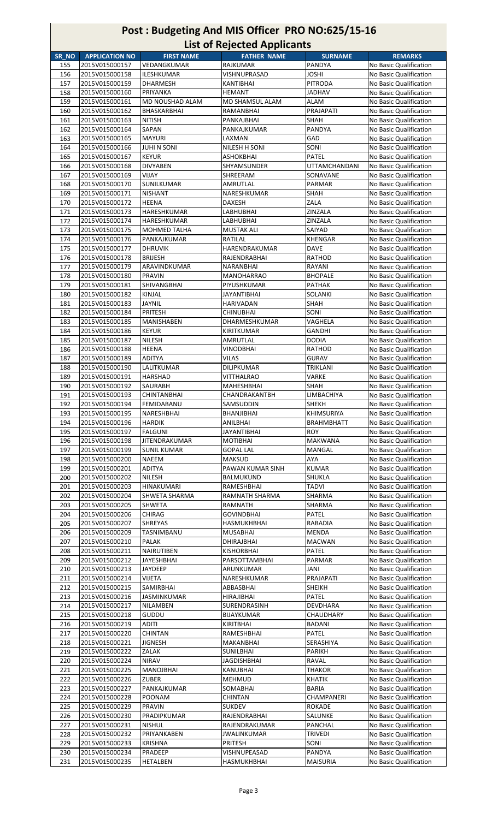|       |                       |                     | List of nejected applicants |                      |                        |
|-------|-----------------------|---------------------|-----------------------------|----------------------|------------------------|
| SR_NO | <b>APPLICATION NO</b> | <b>FIRST NAME</b>   | <b>FATHER NAME</b>          | <b>SURNAME</b>       | <b>REMARKS</b>         |
| 155   | 2015V015000157        | VEDANGKUMAR         | <b>RAJKUMAR</b>             | PANDYA               | No Basic Qualification |
| 156   | 2015V015000158        | <b>ILESHKUMAR</b>   | VISHNUPRASAD                | <b>JOSHI</b>         | No Basic Qualification |
|       |                       |                     |                             | <b>PITRODA</b>       |                        |
| 157   | 2015V015000159        | <b>DHARMESH</b>     | <b>KANTIBHAI</b>            |                      | No Basic Qualification |
| 158   | 2015V015000160        | PRIYANKA            | <b>HEMANT</b>               | <b>JADHAV</b>        | No Basic Qualification |
| 159   | 2015V015000161        | MD NOUSHAD ALAM     | MD SHAMSUL ALAM             | <b>ALAM</b>          | No Basic Qualification |
| 160   | 2015V015000162        | BHASKARBHAI         | RAMANBHAI                   | PRAJAPATI            | No Basic Qualification |
| 161   | 2015V015000163        | NITISH              | PANKAJBHAI                  | SHAH                 | No Basic Qualification |
|       |                       |                     |                             |                      |                        |
| 162   | 2015V015000164        | SAPAN               | PANKAJKUMAR                 | PANDYA               | No Basic Qualification |
| 163   | 2015V015000165        | <b>MAYURI</b>       | LAXMAN                      | GAD                  | No Basic Qualification |
| 164   | 2015V015000166        | JUHI N SONI         | NILESH H SONI               | SONI                 | No Basic Qualification |
| 165   | 2015V015000167        | <b>KEYUR</b>        | <b>ASHOKBHAI</b>            | <b>PATEL</b>         | No Basic Qualification |
| 166   | 2015V015000168        | <b>DIVYABEN</b>     | SHYAMSUNDER                 | <b>UTTAMCHANDANI</b> | No Basic Qualification |
|       | 2015V015000169        | VIJAY               |                             | SONAVANE             |                        |
| 167   |                       |                     | SHREERAM                    |                      | No Basic Qualification |
| 168   | 2015V015000170        | SUNILKUMAR          | AMRUTLAL                    | PARMAR               | No Basic Qualification |
| 169   | 2015V015000171        | <b>NISHANT</b>      | NARESHKUMAR                 | SHAH                 | No Basic Qualification |
| 170   | 2015V015000172        | HEENA               | DAXESH                      | ZALA                 | No Basic Qualification |
| 171   | 2015V015000173        | HARESHKUMAR         | LABHUBHAI                   | ZINZALA              | No Basic Qualification |
| 172   | 2015V015000174        | HARESHKUMAR         | LABHUBHAI                   | ZINZALA              | No Basic Qualification |
|       |                       |                     |                             |                      |                        |
| 173   | 2015V015000175        | <b>MOHMED TALHA</b> | <b>MUSTAK ALI</b>           | SAIYAD               | No Basic Qualification |
| 174   | 2015V015000176        | PANKAJKUMAR         | RATILAL                     | <b>KHENGAR</b>       | No Basic Qualification |
| 175   | 2015V015000177        | <b>DHRUVIK</b>      | HARENDRAKUMAR               | <b>DAVE</b>          | No Basic Qualification |
| 176   | 2015V015000178        | <b>BRIJESH</b>      | RAJENDRABHAI                | RATHOD               | No Basic Qualification |
| 177   | 2015V015000179        | ARAVINDKUMAR        | NARANBHAI                   | RAYANI               | No Basic Qualification |
|       |                       |                     |                             |                      |                        |
| 178   | 2015V015000180        | <b>PRAVIN</b>       | <b>MANOHARRAO</b>           | <b>BHOPALE</b>       | No Basic Qualification |
| 179   | 2015V015000181        | SHIVANGBHAI         | PIYUSHKUMAR                 | <b>PATHAK</b>        | No Basic Qualification |
| 180   | 2015V015000182        | KINJAL              | JAYANTIBHAI                 | <b>SOLANKI</b>       | No Basic Qualification |
| 181   | 2015V015000183        | <b>JAYNIL</b>       | HARIVADAN                   | SHAH                 | No Basic Qualification |
| 182   | 2015V015000184        | PRITESH             | <b>CHINUBHAI</b>            | SONI                 | No Basic Qualification |
| 183   | 2015V015000185        | <b>MANISHABEN</b>   | DHARMESHKUMAR               | VAGHELA              | No Basic Qualification |
|       |                       |                     |                             |                      |                        |
| 184   | 2015V015000186        | <b>KEYUR</b>        | KIRITKUMAR                  | GANDHI               | No Basic Qualification |
| 185   | 2015V015000187        | NILESH              | AMRUTLAL                    | DODIA                | No Basic Qualification |
| 186   | 2015V015000188        | HEENA               | VINODBHAI                   | RATHOD               | No Basic Qualification |
| 187   | 2015V015000189        | ADITYA              | VILAS                       | GURAV                | No Basic Qualification |
| 188   | 2015V015000190        | LALITKUMAR          | DILIPKUMAR                  | TRIKLANI             | No Basic Qualification |
| 189   | 2015V015000191        | HARSHAD             | VITTHALRAO                  | VARKE                | No Basic Qualification |
| 190   | 2015V015000192        | SAURABH             | <b>MAHESHBHAI</b>           | SHAH                 | No Basic Qualification |
|       | 2015V015000193        | <b>CHINTANBHAI</b>  | CHANDRAKANTBH               | LIMBACHIYA           |                        |
| 191   |                       |                     |                             |                      | No Basic Qualification |
| 192   | 2015V015000194        | FEMIDABANU          | SAMSUDDIN                   | <b>SHEKH</b>         | No Basic Qualification |
| 193   | 2015V015000195        | NARESHBHAI          | <b>BHANJIBHAI</b>           | <b>KHIMSURIYA</b>    | No Basic Qualification |
| 194   | 2015V015000196        | <b>HARDIK</b>       | ANILBHAI                    | <b>BRAHMBHATT</b>    | No Basic Qualification |
| 195   | 2015V015000197        | FALGUNI             | JAYANTIBHAI                 | ROY                  | No Basic Qualification |
| 196   | 2015V015000198        | JITENDRAKUMAR       | <b>MOTIBHAI</b>             | MAKWANA              | No Basic Qualification |
| 197   | 2015V015000199        | <b>SUNIL KUMAR</b>  | <b>GOPAL LAL</b>            | <b>MANGAL</b>        | No Basic Qualification |
| 198   | 2015V015000200        | NAEEM               | <b>MAKSUD</b>               | AYA                  | No Basic Qualification |
| 199   | 2015V015000201        | ADITYA              | PAWAN KUMAR SINH            | <b>KUMAR</b>         |                        |
|       |                       |                     |                             |                      | No Basic Qualification |
| 200   | 2015V015000202        | NILESH              | BALMUKUND                   | <b>SHUKLA</b>        | No Basic Qualification |
| 201   | 2015V015000203        | HINAKUMARI          | RAMESHBHAI                  | TADVI                | No Basic Qualification |
| 202   | 2015V015000204        | SHWETA SHARMA       | RAMNATH SHARMA              | SHARMA               | No Basic Qualification |
| 203   | 2015V015000205        | SHWETA              | RAMNATH                     | SHARMA               | No Basic Qualification |
| 204   | 2015V015000206        | CHIRAG              | <b>GOVINDBHAI</b>           | PATEL                | No Basic Qualification |
| 205   | 2015V015000207        | <b>SHREYAS</b>      | HASMUKHBHAI                 | RABADIA              | No Basic Qualification |
|       |                       |                     |                             |                      |                        |
| 206   | 2015V015000209        | TASNIMBANU          | <b>MUSABHAI</b>             | MENDA                | No Basic Qualification |
| 207   | 2015V015000210        | PALAK               | DHIRAJBHAI                  | MACWAN               | No Basic Qualification |
| 208   | 2015V015000211        | <b>NAIRUTIBEN</b>   | <b>KISHORBHAI</b>           | <b>PATEL</b>         | No Basic Qualification |
| 209   | 2015V015000212        | JAYESHBHAI          | PARSOTTAMBHAI               | PARMAR               | No Basic Qualification |
| 210   | 2015V015000213        | JAYDEEP             | ARUNKUMAR                   | JANI                 | No Basic Qualification |
| 211   | 2015V015000214        | VIJETA              | NARESHKUMAR                 | PRAJAPATI            | No Basic Qualification |
| 212   | 2015V015000215        | SAMIRBHAI           | ABBASBHAI                   | <b>SHEIKH</b>        | No Basic Qualification |
| 213   | 2015V015000216        | <b>JASMINKUMAR</b>  | HIRAJIBHAI                  | PATEL                | No Basic Qualification |
| 214   | 2015V015000217        | NILAMBEN            | SURENDRASINH                | DEVDHARA             | No Basic Qualification |
|       |                       |                     |                             |                      |                        |
| 215   | 2015V015000218        | GUDDU               | <b>BIJAYKUMAR</b>           | CHAUDHARY            | No Basic Qualification |
| 216   | 2015V015000219        | ADITI               | KIRITBHAI                   | BADANI               | No Basic Qualification |
| 217   | 2015V015000220        | <b>CHINTAN</b>      | RAMESHBHAI                  | <b>PATEL</b>         | No Basic Qualification |
| 218   | 2015V015000221        | <b>JIGNESH</b>      | MAKANBHAI                   | SERASHIYA            | No Basic Qualification |
| 219   | 2015V015000222        | ZALAK               | SUNILBHAI                   | PARIKH               | No Basic Qualification |
| 220   | 2015V015000224        | NIRAV               | JAGDISHBHAI                 | RAVAL                | No Basic Qualification |
| 221   | 2015V015000225        | MANOJBHAI           | KANUBHAI                    | THAKOR               | No Basic Qualification |
| 222   | 2015V015000226        | ZUBER               | <b>MEHMUD</b>               | KHATIK               | No Basic Qualification |
|       |                       |                     |                             |                      |                        |
| 223   | 2015V015000227        | PANKAJKUMAR         | <b>SOMABHAI</b>             | <b>BARIA</b>         | No Basic Qualification |
| 224   | 2015V015000228        | POONAM              | CHINTAN                     | CHAMPANERI           | No Basic Qualification |
| 225   | 2015V015000229        | <b>PRAVIN</b>       | <b>SUKDEV</b>               | <b>ROKADE</b>        | No Basic Qualification |
| 226   | 2015V015000230        | PRADIPKUMAR         | RAJENDRABHAI                | SALUNKE              | No Basic Qualification |
| 227   | 2015V015000231        | <b>NISHUL</b>       | RAJENDRAKUMAR               | PANCHAL              | No Basic Qualification |
| 228   | 2015V015000232        | PRIYANKABEN         | JWALINKUMAR                 | TRIVEDI              | No Basic Qualification |
| 229   | 2015V015000233        | KRISHNA             | PRITESH                     | SONI                 | No Basic Qualification |
| 230   | 2015V015000234        | PRADEEP             | VISHNUPEASAD                | PANDYA               | No Basic Qualification |
|       |                       |                     |                             |                      |                        |
| 231   | 2015V015000235        | <b>HETALBEN</b>     | HASMUKHBHAI                 | <b>MAISURIA</b>      | No Basic Qualification |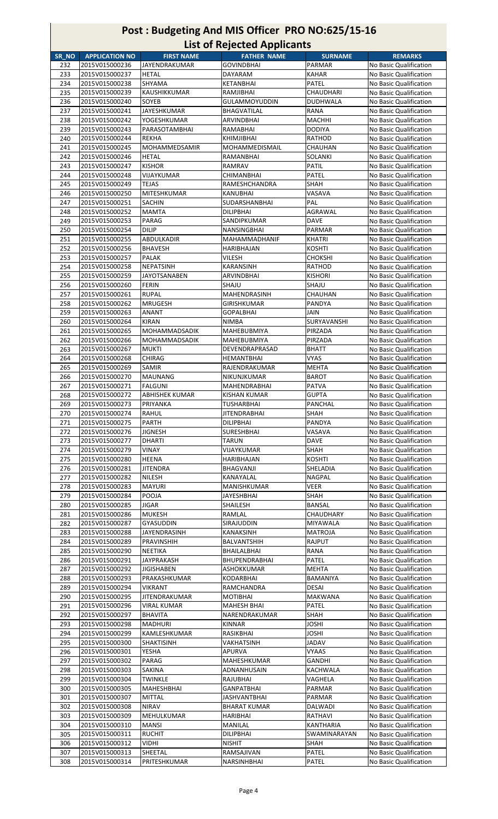|       |                       |                     | List of Referred Applicaties |                  |                        |
|-------|-----------------------|---------------------|------------------------------|------------------|------------------------|
| SR NO | <b>APPLICATION NO</b> | <b>FIRST NAME</b>   | <b>FATHER NAME</b>           | <b>SURNAME</b>   | <b>REMARKS</b>         |
| 232   | 2015V015000236        | JAYENDRAKUMAR       | GOVINDBHAI                   | <b>PARMAR</b>    | No Basic Qualification |
| 233   | 2015V015000237        | <b>HETAL</b>        | DAYARAM                      | <b>KAHAR</b>     | No Basic Qualification |
| 234   | 2015V015000238        | SHYAMA              | KETANBHAI                    | <b>PATEL</b>     | No Basic Qualification |
| 235   | 2015V015000239        | KAUSHIKKUMAR        | RAMJIBHAI                    | CHAUDHARI        | No Basic Qualification |
| 236   | 2015V015000240        | <b>SOYEB</b>        | <b>GULAMMOYUDDIN</b>         | <b>DUDHWALA</b>  | No Basic Qualification |
| 237   | 2015V015000241        | <b>JAYESHKUMAR</b>  | BHAGVATILAL                  | RANA             | No Basic Qualification |
| 238   | 2015V015000242        | YOGESHKUMAR         | ARVINDBHAI                   | <b>MACHHI</b>    | No Basic Qualification |
|       |                       |                     |                              |                  |                        |
| 239   | 2015V015000243        | PARASOTAMBHAI       | RAMABHAI                     | <b>DODIYA</b>    | No Basic Qualification |
| 240   | 2015V015000244        | <b>REKHA</b>        | KHIMJIBHAI                   | RATHOD           | No Basic Qualification |
| 241   | 2015V015000245        | MOHAMMEDSAMIR       | <b>MOHAMMEDISMAIL</b>        | CHAUHAN          | No Basic Qualification |
| 242   | 2015V015000246        | <b>HETAL</b>        | RAMANBHAI                    | SOLANKI          | No Basic Qualification |
| 243   | 2015V015000247        | <b>KISHOR</b>       | RAMRAV                       | PATIL            | No Basic Qualification |
| 244   | 2015V015000248        | VIJAYKUMAR          | CHIMANBHAI                   | <b>PATEL</b>     | No Basic Qualification |
| 245   | 2015V015000249        | <b>TEJAS</b>        | RAMESHCHANDRA                | <b>SHAH</b>      | No Basic Qualification |
| 246   | 2015V015000250        | MITESHKUMAR         | KANUBHAI                     | VASAVA           | No Basic Qualification |
| 247   | 2015V015000251        | SACHIN              | SUDARSHANBHAI                | PAL              | No Basic Qualification |
| 248   | 2015V015000252        | <b>MAMTA</b>        | DILIPBHAI                    | AGRAWAL          | No Basic Qualification |
| 249   | 2015V015000253        | PARAG               | SANDIPKUMAR                  | <b>DAVE</b>      | No Basic Qualification |
|       | 2015V015000254        |                     |                              |                  | No Basic Qualification |
| 250   |                       | <b>DILIP</b>        | NANSINGBHAI                  | <b>PARMAR</b>    |                        |
| 251   | 2015V015000255        | ABDULKADIR          | MAHAMMADHANIF                | <b>KHATRI</b>    | No Basic Qualification |
| 252   | 2015V015000256        | <b>BHAVESH</b>      | HARIBHAJAN                   | <b>KOSHTI</b>    | No Basic Qualification |
| 253   | 2015V015000257        | <b>PALAK</b>        | VILESH                       | <b>CHOKSHI</b>   | No Basic Qualification |
| 254   | 2015V015000258        | NEPATSINH           | KARANSINH                    | <b>RATHOD</b>    | No Basic Qualification |
| 255   | 2015V015000259        | <b>JAYOTSANABEN</b> | ARVINDBHAI                   | <b>KISHORI</b>   | No Basic Qualification |
| 256   | 2015V015000260        | <b>FERIN</b>        | SHAJU                        | SHAJU            | No Basic Qualification |
| 257   | 2015V015000261        | <b>RUPAL</b>        | MAHENDRASINH                 | <b>CHAUHAN</b>   | No Basic Qualification |
| 258   | 2015V015000262        | <b>MRUGESH</b>      | GIRISHKUMAR                  | PANDYA           | No Basic Qualification |
| 259   | 2015V015000263        | <b>ANANT</b>        | <b>GOPALBHAI</b>             | <b>JAIN</b>      | No Basic Qualification |
| 260   | 2015V015000264        | <b>KIRAN</b>        | <b>NIMBA</b>                 | SURYAVANSHI      | No Basic Qualification |
| 261   | 2015V015000265        | MOHAMMADSADIK       | MAHEBUBMIYA                  | PIRZADA          | No Basic Qualification |
|       |                       |                     |                              |                  |                        |
| 262   | 2015V015000266        | MOHAMMADSADIK       | MAHEBUBMIYA                  | PIRZADA          | No Basic Qualification |
| 263   | 2015V015000267        | <b>MUKTI</b>        | DEVENDRAPRASAD               | <b>BHATT</b>     | No Basic Qualification |
| 264   | 2015V015000268        | CHIRAG              | HEMANTBHAI                   | <b>VYAS</b>      | No Basic Qualification |
| 265   | 2015V015000269        | SAMIR               | RAJENDRAKUMAR                | <b>MEHTA</b>     | No Basic Qualification |
| 266   | 2015V015000270        | <b>MAUNANG</b>      | NIKUNJKUMAR                  | <b>BAROT</b>     | No Basic Qualification |
| 267   | 2015V015000271        | <b>FALGUNI</b>      | MAHENDRABHAI                 | <b>PATVA</b>     | No Basic Qualification |
| 268   | 2015V015000272        | ABHISHEK KUMAR      | KISHAN KUMAR                 | <b>GUPTA</b>     | No Basic Qualification |
| 269   | 2015V015000273        | PRIYANKA            | TUSHARBHAI                   | PANCHAL          | No Basic Qualification |
| 270   | 2015V015000274        | RAHUL               | <b>JITENDRABHAI</b>          | SHAH             | No Basic Qualification |
| 271   | 2015V015000275        | <b>PARTH</b>        | DILIPBHAI                    | PANDYA           | No Basic Qualification |
| 272   | 2015V015000276        | JIGNESH             | SURESHBHAI                   | VASAVA           | No Basic Qualification |
| 273   | 2015V015000277        | DHARTI              | TARUN                        | <b>DAVE</b>      | No Basic Qualification |
| 274   | 2015V015000279        | VINAY               | VIJAYKUMAR                   | SHAH             | No Basic Qualification |
| 275   | 2015V015000280        | <b>HEENA</b>        | HARIBHAJAN                   | <b>KOSHTI</b>    | No Basic Qualification |
|       |                       |                     |                              |                  |                        |
| 276   | 2015V015000281        | JITENDRA            | BHAGVANJI                    | SHELADIA         | No Basic Qualification |
| 277   | 2015V015000282        | <b>NILESH</b>       | KANAYALAL                    | <b>NAGPAL</b>    | No Basic Qualification |
| 278   | 2015V015000283        | <b>MAYURI</b>       | MANISHKUMAR                  | <b>VEER</b>      | No Basic Qualification |
| 279   | 2015V015000284        | POOJA               | JAYESHBHAI                   | SHAH             | No Basic Qualification |
| 280   | 2015V015000285        | JIGAR               | SHAILESH                     | BANSAL           | No Basic Qualification |
| 281   | 2015V015000286        | MUKESH              | RAMLAL                       | CHAUDHARY        | No Basic Qualification |
| 282   | 2015V015000287        | GYASUDDIN           | SIRAJUDDIN                   | MIYAWALA         | No Basic Qualification |
| 283   | 2015V015000288        | JAYENDRASINH        | KANAKSINH                    | <b>MATROJA</b>   | No Basic Qualification |
| 284   | 2015V015000289        | <b>PRAVINSHIH</b>   | BALVANTSHIH                  | <b>RAJPUT</b>    | No Basic Qualification |
| 285   | 2015V015000290        | NEETIKA             | BHAILALBHAI                  | RANA             | No Basic Qualification |
| 286   | 2015V015000291        | <b>JAYPRAKASH</b>   | BHUPENDRABHAI                | <b>PATEL</b>     | No Basic Qualification |
| 287   | 2015V015000292        | <b>JIGISHABEN</b>   | ASHOKKUMAR                   | <b>MEHTA</b>     | No Basic Qualification |
| 288   | 2015V015000293        | PRAKASHKUMAR        | KODARBHAI                    | BAMANIYA         | No Basic Qualification |
|       |                       |                     |                              |                  |                        |
| 289   | 2015V015000294        | VIKRANT             | RAMCHANDRA                   | DESAI            | No Basic Qualification |
| 290   | 2015V015000295        | JITENDRAKUMAR       | MOTIBHAI                     | MAKWANA          | No Basic Qualification |
| 291   | 2015V015000296        | VIRAL KUMAR         | MAHESH BHAI                  | <b>PATEL</b>     | No Basic Qualification |
| 292   | 2015V015000297        | <b>BHAVITA</b>      | NARENDRAKUMAR                | SHAH             | No Basic Qualification |
| 293   | 2015V015000298        | <b>MADHURI</b>      | KINNAR                       | JOSHI            | No Basic Qualification |
| 294   | 2015V015000299        | KAMLESHKUMAR        | RASIKBHAI                    | JOSHI            | No Basic Qualification |
| 295   | 2015V015000300        | <b>SHAKTISINH</b>   | VAKHATSINH                   | <b>JADAV</b>     | No Basic Qualification |
| 296   | 2015V015000301        | YESHA               | APURVA                       | VYAAS            | No Basic Qualification |
| 297   | 2015V015000302        | PARAG               | MAHESHKUMAR                  | GANDHI           | No Basic Qualification |
| 298   | 2015V015000303        | SAKINA              | ADNANHUSAIN                  | KACHWALA         | No Basic Qualification |
| 299   | 2015V015000304        | <b>TWINKLE</b>      | RAJUBHAI                     | VAGHELA          | No Basic Qualification |
| 300   | 2015V015000305        | MAHESHBHAI          | GANPATBHAI                   | PARMAR           | No Basic Qualification |
| 301   | 2015V015000307        | <b>MITTAL</b>       | JASHVANTBHAI                 | <b>PARMAR</b>    | No Basic Qualification |
| 302   | 2015V015000308        | <b>NIRAV</b>        | BHARAT KUMAR                 | DALWADI          | No Basic Qualification |
|       | 2015V015000309        | <b>MEHULKUMAR</b>   |                              |                  |                        |
| 303   |                       |                     | HARIBHAI                     | RATHAVI          | No Basic Qualification |
| 304   | 2015V015000310        | <b>MANSI</b>        | MANILAL                      | <b>KANTHARIA</b> | No Basic Qualification |
| 305   | 2015V015000311        | <b>RUCHIT</b>       | DILIPBHAI                    | SWAMINARAYAN     | No Basic Qualification |
| 306   | 2015V015000312        | VIDHI               | NISHIT                       | SHAH             | No Basic Qualification |
| 307   | 2015V015000313        | SHEETAL             | RAMSAJIVAN                   | PATEL            | No Basic Qualification |
| 308   | 2015V015000314        | PRITESHKUMAR        | NARSINHBHAI                  | <b>PATEL</b>     | No Basic Qualification |